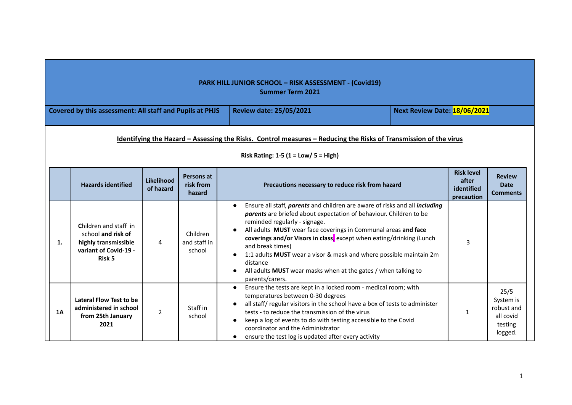|    |                                                                                                        |                                |                                    | <b>PARK HILL JUNIOR SCHOOL - RISK ASSESSMENT - (Covid19)</b><br><b>Summer Term 2021</b>                                                                                                                                                                                                                                                                                                                                                                                                                                              |                                                        |                                                                    |
|----|--------------------------------------------------------------------------------------------------------|--------------------------------|------------------------------------|--------------------------------------------------------------------------------------------------------------------------------------------------------------------------------------------------------------------------------------------------------------------------------------------------------------------------------------------------------------------------------------------------------------------------------------------------------------------------------------------------------------------------------------|--------------------------------------------------------|--------------------------------------------------------------------|
|    | Covered by this assessment: All staff and Pupils at PHJS                                               |                                |                                    | <b>Review date: 25/05/2021</b>                                                                                                                                                                                                                                                                                                                                                                                                                                                                                                       | Next Review Date: 18/06/2021                           |                                                                    |
|    |                                                                                                        |                                |                                    | Identifying the Hazard - Assessing the Risks. Control measures - Reducing the Risks of Transmission of the virus<br>Risk Rating: $1-5$ ( $1 = Low / 5 = High$ )                                                                                                                                                                                                                                                                                                                                                                      |                                                        |                                                                    |
|    | <b>Hazards identified</b>                                                                              | <b>Likelihood</b><br>of hazard | Persons at<br>risk from<br>hazard  | Precautions necessary to reduce risk from hazard                                                                                                                                                                                                                                                                                                                                                                                                                                                                                     | <b>Risk level</b><br>after<br>identified<br>precaution | <b>Review</b><br><b>Date</b><br><b>Comments</b>                    |
| 1. | Children and staff in<br>school and risk of<br>highly transmissible<br>variant of Covid-19 -<br>Risk 5 | 4                              | Children<br>and staff in<br>school | Ensure all staff, parents and children are aware of risks and all including<br>parents are briefed about expectation of behaviour. Children to be<br>reminded regularly - signage.<br>All adults MUST wear face coverings in Communal areas and face<br>coverings and/or Visors in class, except when eating/drinking (Lunch<br>and break times)<br>1:1 adults MUST wear a visor & mask and where possible maintain 2m<br>distance<br>All adults MUST wear masks when at the gates / when talking to<br>$\bullet$<br>parents/carers. | 3                                                      |                                                                    |
| 1A | Lateral Flow Test to be<br>administered in school<br>from 25th January<br>2021                         | $\overline{2}$                 | Staff in<br>school                 | Ensure the tests are kept in a locked room - medical room; with<br>$\bullet$<br>temperatures between 0-30 degrees<br>all staff/regular visitors in the school have a box of tests to administer<br>tests - to reduce the transmission of the virus<br>keep a log of events to do with testing accessible to the Covid<br>coordinator and the Administrator<br>ensure the test log is updated after every activity<br>$\bullet$                                                                                                       | 1                                                      | 25/5<br>System is<br>robust and<br>all covid<br>testing<br>logged. |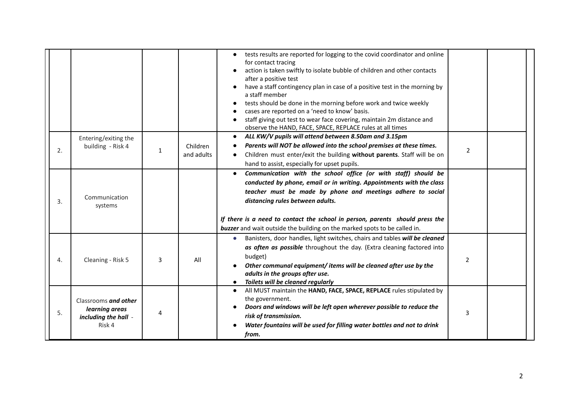|    |                                                                          |   |                        | tests results are reported for logging to the covid coordinator and online<br>$\bullet$<br>for contact tracing<br>action is taken swiftly to isolate bubble of children and other contacts<br>after a positive test<br>have a staff contingency plan in case of a positive test in the morning by<br>a staff member<br>tests should be done in the morning before work and twice weekly<br>cases are reported on a 'need to know' basis.<br>staff giving out test to wear face covering, maintain 2m distance and<br>observe the HAND, FACE, SPACE, REPLACE rules at all times |                |  |
|----|--------------------------------------------------------------------------|---|------------------------|--------------------------------------------------------------------------------------------------------------------------------------------------------------------------------------------------------------------------------------------------------------------------------------------------------------------------------------------------------------------------------------------------------------------------------------------------------------------------------------------------------------------------------------------------------------------------------|----------------|--|
| 2. | Entering/exiting the<br>building - Risk 4                                | 1 | Children<br>and adults | ALL KW/V pupils will attend between 8.50am and 3.15pm<br>$\bullet$<br>Parents will NOT be allowed into the school premises at these times.<br>Children must enter/exit the building without parents. Staff will be on<br>hand to assist, especially for upset pupils.                                                                                                                                                                                                                                                                                                          | $\overline{2}$ |  |
| 3. | Communication<br>systems                                                 |   |                        | Communication with the school office (or with staff) should be<br>conducted by phone, email or in writing. Appointments with the class<br>teacher must be made by phone and meetings adhere to social<br>distancing rules between adults.<br>If there is a need to contact the school in person, parents should press the<br><b>buzzer</b> and wait outside the building on the marked spots to be called in.                                                                                                                                                                  |                |  |
| 4. | Cleaning - Risk 5                                                        | 3 | All                    | Banisters, door handles, light switches, chairs and tables will be cleaned<br>$\bullet$<br>as often as possible throughout the day. (Extra cleaning factored into<br>budget)<br>Other communal equipment/items will be cleaned after use by the<br>adults in the groups after use.<br>Toilets will be cleaned regularly                                                                                                                                                                                                                                                        | $\overline{2}$ |  |
| 5. | Classrooms and other<br>learning areas<br>including the hall -<br>Risk 4 | 4 |                        | All MUST maintain the HAND, FACE, SPACE, REPLACE rules stipulated by<br>the government.<br>Doors and windows will be left open wherever possible to reduce the<br>risk of transmission.<br>Water fountains will be used for filling water bottles and not to drink<br>from.                                                                                                                                                                                                                                                                                                    | 3              |  |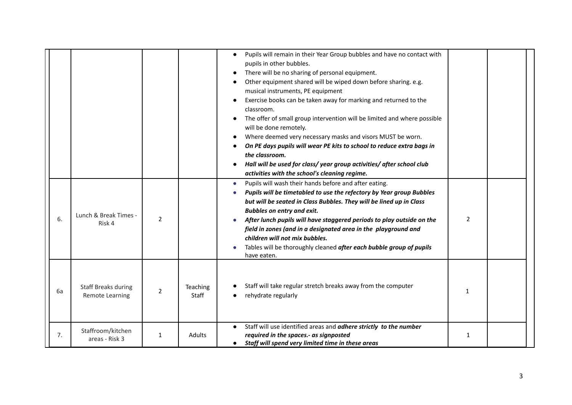|    |                                                      |                |                   | Pupils will remain in their Year Group bubbles and have no contact with<br>$\bullet$<br>pupils in other bubbles.<br>There will be no sharing of personal equipment.<br>Other equipment shared will be wiped down before sharing. e.g.<br>musical instruments, PE equipment<br>Exercise books can be taken away for marking and returned to the<br>classroom.<br>The offer of small group intervention will be limited and where possible<br>will be done remotely.<br>Where deemed very necessary masks and visors MUST be worn.<br>On PE days pupils will wear PE kits to school to reduce extra bags in<br>the classroom.<br>Hall will be used for class/year group activities/after school club<br>activities with the school's cleaning regime. |                |  |
|----|------------------------------------------------------|----------------|-------------------|-----------------------------------------------------------------------------------------------------------------------------------------------------------------------------------------------------------------------------------------------------------------------------------------------------------------------------------------------------------------------------------------------------------------------------------------------------------------------------------------------------------------------------------------------------------------------------------------------------------------------------------------------------------------------------------------------------------------------------------------------------|----------------|--|
| 6. | Lunch & Break Times -<br>Risk 4                      | $\overline{2}$ |                   | Pupils will wash their hands before and after eating.<br>$\bullet$<br>Pupils will be timetabled to use the refectory by Year group Bubbles<br>but will be seated in Class Bubbles. They will be lined up in Class<br><b>Bubbles on entry and exit.</b><br>After lunch pupils will have staggered periods to play outside on the<br>field in zones (and in a designated area in the playground and<br>children will not mix bubbles.<br>Tables will be thoroughly cleaned after each bubble group of pupils<br>have eaten.                                                                                                                                                                                                                           | $\overline{2}$ |  |
| 6a | <b>Staff Breaks during</b><br><b>Remote Learning</b> | $\overline{2}$ | Teaching<br>Staff | Staff will take regular stretch breaks away from the computer<br>rehydrate regularly                                                                                                                                                                                                                                                                                                                                                                                                                                                                                                                                                                                                                                                                | $\mathbf{1}$   |  |
| 7. | Staffroom/kitchen<br>areas - Risk 3                  | 1              | Adults            | Staff will use identified areas and adhere strictly to the number<br>$\bullet$<br>required in the spaces.- as signposted<br>• Staff will spend very limited time in these areas                                                                                                                                                                                                                                                                                                                                                                                                                                                                                                                                                                     | $\mathbf{1}$   |  |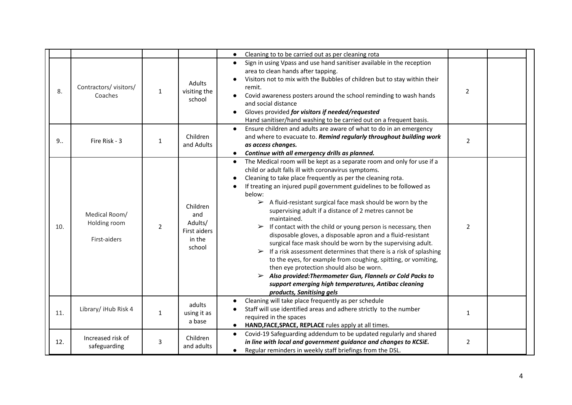|     |                                               |              |                                                                | Cleaning to to be carried out as per cleaning rota<br>$\bullet$                                                                                                                                                                                                                                                                                                                                                                                                                                                                                                                                                                                                                                                                                                                                                                                                                                                                                                                                                                                  |                |  |
|-----|-----------------------------------------------|--------------|----------------------------------------------------------------|--------------------------------------------------------------------------------------------------------------------------------------------------------------------------------------------------------------------------------------------------------------------------------------------------------------------------------------------------------------------------------------------------------------------------------------------------------------------------------------------------------------------------------------------------------------------------------------------------------------------------------------------------------------------------------------------------------------------------------------------------------------------------------------------------------------------------------------------------------------------------------------------------------------------------------------------------------------------------------------------------------------------------------------------------|----------------|--|
| 8.  | Contractors/visitors/<br>Coaches              | $\mathbf{1}$ | Adults<br>visiting the<br>school                               | Sign in using Vpass and use hand sanitiser available in the reception<br>$\bullet$<br>area to clean hands after tapping.<br>Visitors not to mix with the Bubbles of children but to stay within their<br>remit.<br>Covid awareness posters around the school reminding to wash hands<br>and social distance<br>Gloves provided for visitors if needed/requested<br>Hand sanitiser/hand washing to be carried out on a frequent basis.                                                                                                                                                                                                                                                                                                                                                                                                                                                                                                                                                                                                            | $\overline{2}$ |  |
| 9.5 | Fire Risk - 3                                 | 1            | Children<br>and Adults                                         | Ensure children and adults are aware of what to do in an emergency<br>$\bullet$<br>and where to evacuate to. Remind regularly throughout building work<br>as access changes.<br>Continue with all emergency drills as planned.<br>$\bullet$                                                                                                                                                                                                                                                                                                                                                                                                                                                                                                                                                                                                                                                                                                                                                                                                      | $\overline{2}$ |  |
| 10. | Medical Room/<br>Holding room<br>First-aiders | 2            | Children<br>and<br>Adults/<br>First aiders<br>in the<br>school | The Medical room will be kept as a separate room and only for use if a<br>$\bullet$<br>child or adult falls ill with coronavirus symptoms.<br>Cleaning to take place frequently as per the cleaning rota.<br>If treating an injured pupil government guidelines to be followed as<br>below:<br>$\triangleright$ A fluid-resistant surgical face mask should be worn by the<br>supervising adult if a distance of 2 metres cannot be<br>maintained.<br>If contact with the child or young person is necessary, then<br>$\blacktriangleright$<br>disposable gloves, a disposable apron and a fluid-resistant<br>surgical face mask should be worn by the supervising adult.<br>$\triangleright$ If a risk assessment determines that there is a risk of splashing<br>to the eyes, for example from coughing, spitting, or vomiting,<br>then eye protection should also be worn.<br>$\triangleright$ Also provided: Thermometer Gun, Flannels or Cold Packs to<br>support emerging high temperatures, Antibac cleaning<br>products, Sanitising gels | $\overline{2}$ |  |
| 11. | Library/ iHub Risk 4                          | $\mathbf{1}$ | adults<br>using it as<br>a base                                | Cleaning will take place frequently as per schedule<br>Staff will use identified areas and adhere strictly to the number<br>required in the spaces<br>HAND, FACE, SPACE, REPLACE rules apply at all times.                                                                                                                                                                                                                                                                                                                                                                                                                                                                                                                                                                                                                                                                                                                                                                                                                                       | $\mathbf{1}$   |  |
| 12. | Increased risk of<br>safeguarding             | 3            | Children<br>and adults                                         | Covid-19 Safeguarding addendum to be updated regularly and shared<br>$\bullet$<br>in line with local and government guidance and changes to KCSiE.<br>Regular reminders in weekly staff briefings from the DSL.<br>$\bullet$                                                                                                                                                                                                                                                                                                                                                                                                                                                                                                                                                                                                                                                                                                                                                                                                                     | $\overline{2}$ |  |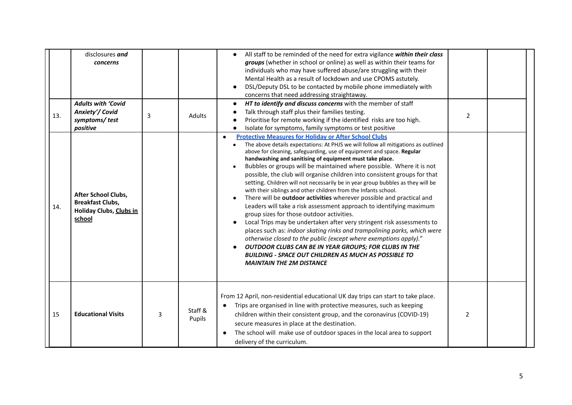| 13. | disclosures and<br>concerns<br><b>Adults with 'Covid</b><br>Anxiety'/ Covid<br>symptoms/test           | 3 | Adults            | All staff to be reminded of the need for extra vigilance within their class<br>groups (whether in school or online) as well as within their teams for<br>individuals who may have suffered abuse/are struggling with their<br>Mental Health as a result of lockdown and use CPOMS astutely.<br>DSL/Deputy DSL to be contacted by mobile phone immediately with<br>concerns that need addressing straightaway.<br>HT to identify and discuss concerns with the member of staff<br>Talk through staff plus their families testing.<br>Prioritise for remote working if the identified risks are too high.                                                                                                                                                                                                                                                                                                                                                                                                                                                                                                                                                                                                                                                   | $\overline{2}$ |  |
|-----|--------------------------------------------------------------------------------------------------------|---|-------------------|-----------------------------------------------------------------------------------------------------------------------------------------------------------------------------------------------------------------------------------------------------------------------------------------------------------------------------------------------------------------------------------------------------------------------------------------------------------------------------------------------------------------------------------------------------------------------------------------------------------------------------------------------------------------------------------------------------------------------------------------------------------------------------------------------------------------------------------------------------------------------------------------------------------------------------------------------------------------------------------------------------------------------------------------------------------------------------------------------------------------------------------------------------------------------------------------------------------------------------------------------------------|----------------|--|
| 14. | positive<br>After School Clubs,<br><b>Breakfast Clubs,</b><br><b>Holiday Clubs, Clubs in</b><br>school |   |                   | Isolate for symptoms, family symptoms or test positive<br><b>Protective Measures for Holiday or After School Clubs</b><br>$\bullet$<br>The above details expectations: At PHJS we will follow all mitigations as outlined<br>above for cleaning, safeguarding, use of equipment and space. Regular<br>handwashing and sanitising of equipment must take place.<br>Bubbles or groups will be maintained where possible. Where it is not<br>possible, the club will organise children into consistent groups for that<br>setting. Children will not necessarily be in year group bubbles as they will be<br>with their siblings and other children from the Infants school.<br>There will be outdoor activities wherever possible and practical and<br>Leaders will take a risk assessment approach to identifying maximum<br>group sizes for those outdoor activities.<br>Local Trips may be undertaken after very stringent risk assessments to<br>places such as: indoor skating rinks and trampolining parks, which were<br>otherwise closed to the public (except where exemptions apply)."<br>OUTDOOR CLUBS CAN BE IN YEAR GROUPS; FOR CLUBS IN THE<br><b>BUILDING - SPACE OUT CHILDREN AS MUCH AS POSSIBLE TO</b><br><b>MAINTAIN THE 2M DISTANCE</b> |                |  |
| 15  | <b>Educational Visits</b>                                                                              | 3 | Staff &<br>Pupils | From 12 April, non-residential educational UK day trips can start to take place.<br>Trips are organised in line with protective measures, such as keeping<br>children within their consistent group, and the coronavirus (COVID-19)<br>secure measures in place at the destination.<br>The school will make use of outdoor spaces in the local area to support<br>delivery of the curriculum.                                                                                                                                                                                                                                                                                                                                                                                                                                                                                                                                                                                                                                                                                                                                                                                                                                                             | $\overline{2}$ |  |